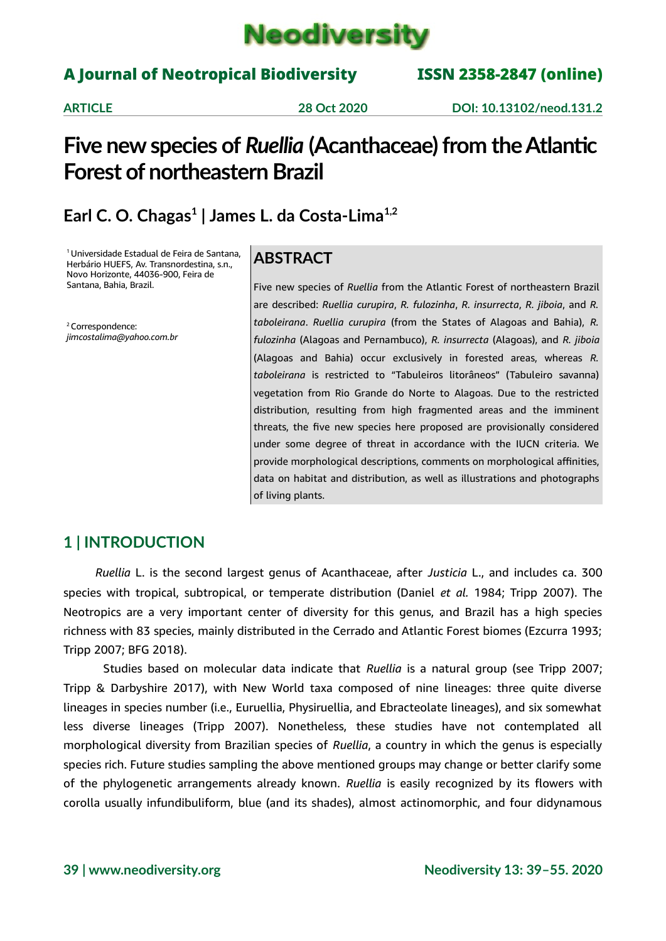

### A Journal of Neotropical Biodiversity ISSN 2358-2847 (online)

**ARTICLE 28 Oct 2020 DOI: 10.13102/neod.131.2**

## **Five new species of** *Ruellia* **(Acanthaceae) from the Atlantic Forest of northeastern Brazil**

## **Earl C. O. Chagas<sup>1</sup> | James L. da Costa-Lima1,2**

<sup>1</sup> Universidade Estadual de Feira de Santana, Herbário HUEFS, Av. Transnordestina, s.n., Novo Horizonte, 44036-900, Feira de Santana, Bahia, Brazil.

<sup>2</sup> Correspondence: *jimcostalima@yahoo.com.br*

### **ABSTRACT**

Five new species of *Ruellia* from the Atlantic Forest of northeastern Brazil are described: *Ruellia curupira*, *R. fulozinha*, *R. insurrecta*, *R. jiboia*, and *R. taboleirana*. *Ruellia curupira* (from the States of Alagoas and Bahia), *R. fulozinha* (Alagoas and Pernambuco), *R. insurrecta* (Alagoas), and *R. jiboia* (Alagoas and Bahia) occur exclusively in forested areas, whereas *R. taboleirana* is restricted to "Tabuleiros litorâneos" (Tabuleiro savanna) vegetation from Rio Grande do Norte to Alagoas. Due to the restricted distribution, resulting from high fragmented areas and the imminent threats, the five new species here proposed are provisionally considered under some degree of threat in accordance with the IUCN criteria. We provide morphological descriptions, comments on morphological affinities, data on habitat and distribution, as well as illustrations and photographs of living plants.

### **1 | INTRODUCTION**

*Ruellia* L. is the second largest genus of Acanthaceae, after *Justicia* L., and includes ca. 300 species with tropical, subtropical, or temperate distribution (Daniel *et al.* 1984; Tripp 2007). The Neotropics are a very important center of diversity for this genus, and Brazil has a high species richness with 83 species, mainly distributed in the Cerrado and Atlantic Forest biomes (Ezcurra 1993; Tripp 2007; BFG 2018).

Studies based on molecular data indicate that *Ruellia* is a natural group (see Tripp 2007; Tripp & Darbyshire 2017), with New World taxa composed of nine lineages: three quite diverse lineages in species number (i.e., Euruellia, Physiruellia, and Ebracteolate lineages), and six somewhat less diverse lineages (Tripp 2007). Nonetheless, these studies have not contemplated all morphological diversity from Brazilian species of *Ruellia*, a country in which the genus is especially species rich. Future studies sampling the above mentioned groups may change or better clarify some of the phylogenetic arrangements already known. *Ruellia* is easily recognized by its flowers with corolla usually infundibuliform, blue (and its shades), almost actinomorphic, and four didynamous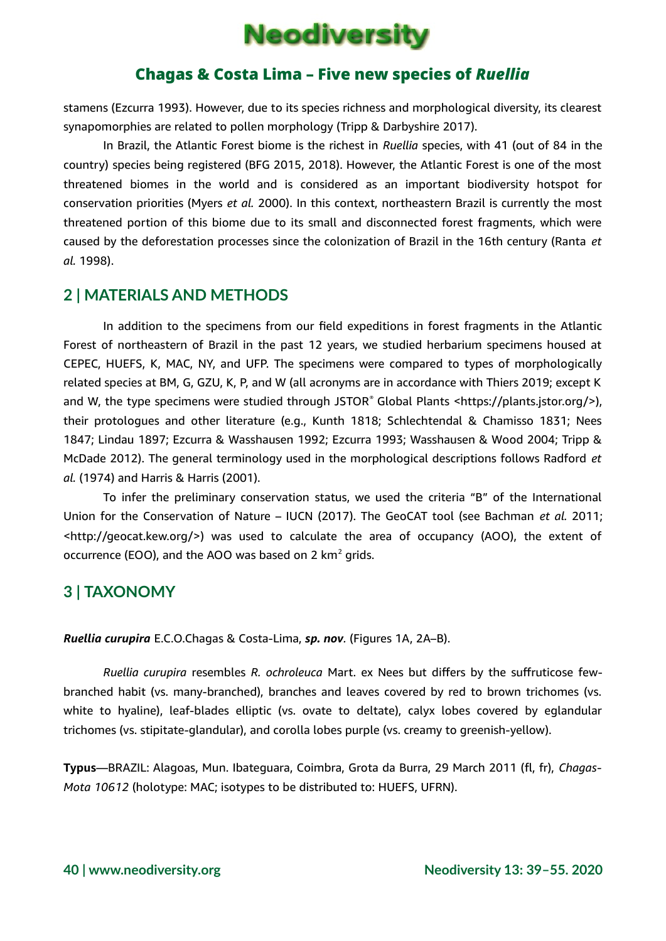

stamens (Ezcurra 1993). However, due to its species richness and morphological diversity, its clearest synapomorphies are related to pollen morphology (Tripp & Darbyshire 2017).

In Brazil, the Atlantic Forest biome is the richest in *Ruellia* species, with 41 (out of 84 in the country) species being registered (BFG 2015, 2018). However, the Atlantic Forest is one of the most threatened biomes in the world and is considered as an important biodiversity hotspot for conservation priorities (Myers *et al.* 2000). In this context, northeastern Brazil is currently the most threatened portion of this biome due to its small and disconnected forest fragments, which were caused by the deforestation processes since the colonization of Brazil in the 16th century (Ranta *et al.* 1998).

### **2 | MATERIALS AND METHODS**

In addition to the specimens from our field expeditions in forest fragments in the Atlantic Forest of northeastern of Brazil in the past 12 years, we studied herbarium specimens housed at CEPEC, HUEFS, K, MAC, NY, and UFP. The specimens were compared to types of morphologically related species at BM, G, GZU, K, P, and W (all acronyms are in accordance with Thiers 2019; except K and W, the type specimens were studied through JSTOR® Global Plants <https://plants.jstor.org/>), their protologues and other literature (e.g., Kunth 1818; Schlechtendal & Chamisso 1831; Nees 1847; Lindau 1897; Ezcurra & Wasshausen 1992; Ezcurra 1993; Wasshausen & Wood 2004; Tripp & McDade 2012). The general terminology used in the morphological descriptions follows Radford *et al.* (1974) and Harris & Harris (2001).

To infer the preliminary conservation status, we used the criteria "B" of the International Union for the Conservation of Nature – IUCN (2017). The GeoCAT tool (see Bachman *et al.* 2011; <http://geocat.kew.org/>) was used to calculate the area of occupancy (AOO), the extent of occurrence (EOO), and the AOO was based on 2  $km<sup>2</sup>$  grids.

### **3 | TAXONOMY**

*Ruellia curupira* E.C.O.Chagas & Costa-Lima, *sp. nov.* (Figures 1A, 2A–B).

*Ruellia curupira* resembles *R. ochroleuca* Mart. ex Nees but differs by the suffruticose fewbranched habit (vs. many-branched), branches and leaves covered by red to brown trichomes (vs. white to hyaline), leaf-blades elliptic (vs. ovate to deltate), calyx lobes covered by eglandular trichomes (vs. stipitate-glandular), and corolla lobes purple (vs. creamy to greenish-yellow).

**Typus**—BRAZIL: Alagoas, Mun. Ibateguara, Coimbra, Grota da Burra, 29 March 2011 (fl, fr), *Chagas-Mota 10612* (holotype: MAC; isotypes to be distributed to: HUEFS, UFRN).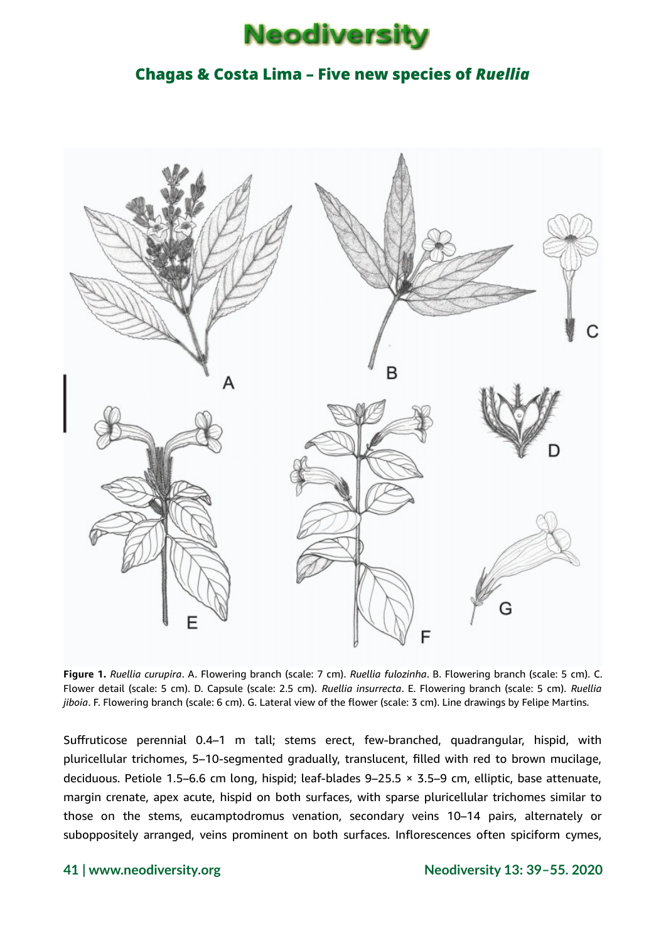



**Figure 1.** *Ruellia curupira*. A. Flowering branch (scale: 7 cm). *Ruellia fulozinha*. B. Flowering branch (scale: 5 cm). C. Flower detail (scale: 5 cm). D. Capsule (scale: 2.5 cm). *Ruellia insurrecta*. E. Flowering branch (scale: 5 cm). *Ruellia jiboia*. F. Flowering branch (scale: 6 cm). G. Lateral view of the flower (scale: 3 cm). Line drawings by Felipe Martins.

Suffruticose perennial 0.4–1 m tall; stems erect, few-branched, quadrangular, hispid, with pluricellular trichomes, 5–10-segmented gradually, translucent, filled with red to brown mucilage, deciduous. Petiole 1.5–6.6 cm long, hispid; leaf-blades 9–25.5 × 3.5–9 cm, elliptic, base attenuate, margin crenate, apex acute, hispid on both surfaces, with sparse pluricellular trichomes similar to those on the stems, eucamptodromus venation, secondary veins 10–14 pairs, alternately or suboppositely arranged, veins prominent on both surfaces. Inflorescences often spiciform cymes,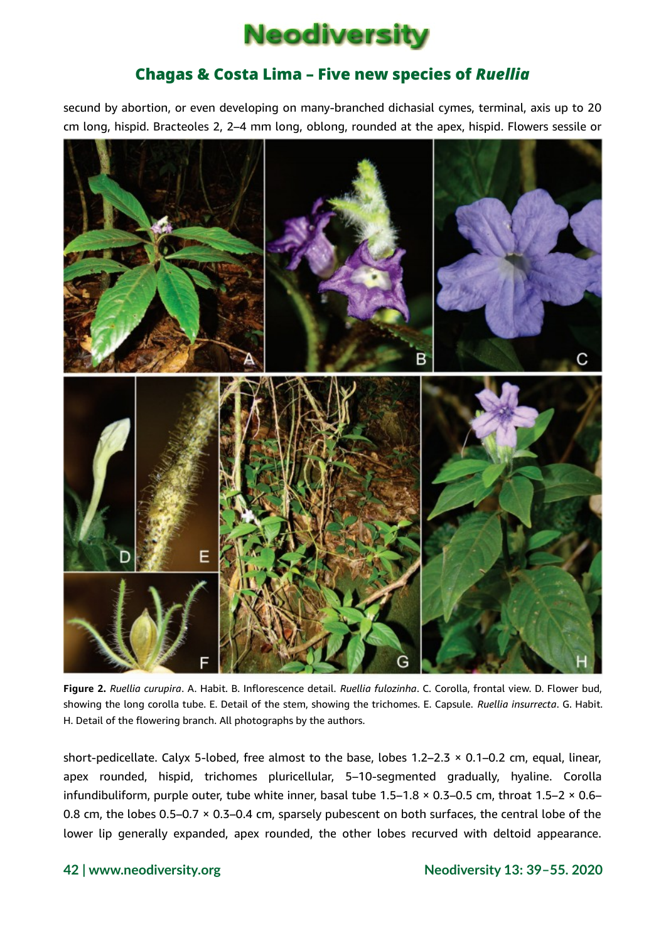

secund by abortion, or even developing on many-branched dichasial cymes, terminal, axis up to 20 cm long, hispid. Bracteoles 2, 2–4 mm long, oblong, rounded at the apex, hispid. Flowers sessile or



**Figure 2.** *Ruellia curupira*. A. Habit. B. Inflorescence detail. *Ruellia fulozinha*. C. Corolla, frontal view. D. Flower bud, showing the long corolla tube. E. Detail of the stem, showing the trichomes. E. Capsule. *Ruellia insurrecta*. G. Habit. H. Detail of the flowering branch. All photographs by the authors.

short-pedicellate. Calyx 5-lobed, free almost to the base, lobes 1.2–2.3 × 0.1–0.2 cm, equal, linear, apex rounded, hispid, trichomes pluricellular, 5–10-segmented gradually, hyaline. Corolla infundibuliform, purple outer, tube white inner, basal tube 1.5–1.8 × 0.3–0.5 cm, throat 1.5–2 × 0.6– 0.8 cm, the lobes 0.5–0.7 × 0.3–0.4 cm, sparsely pubescent on both surfaces, the central lobe of the lower lip generally expanded, apex rounded, the other lobes recurved with deltoid appearance.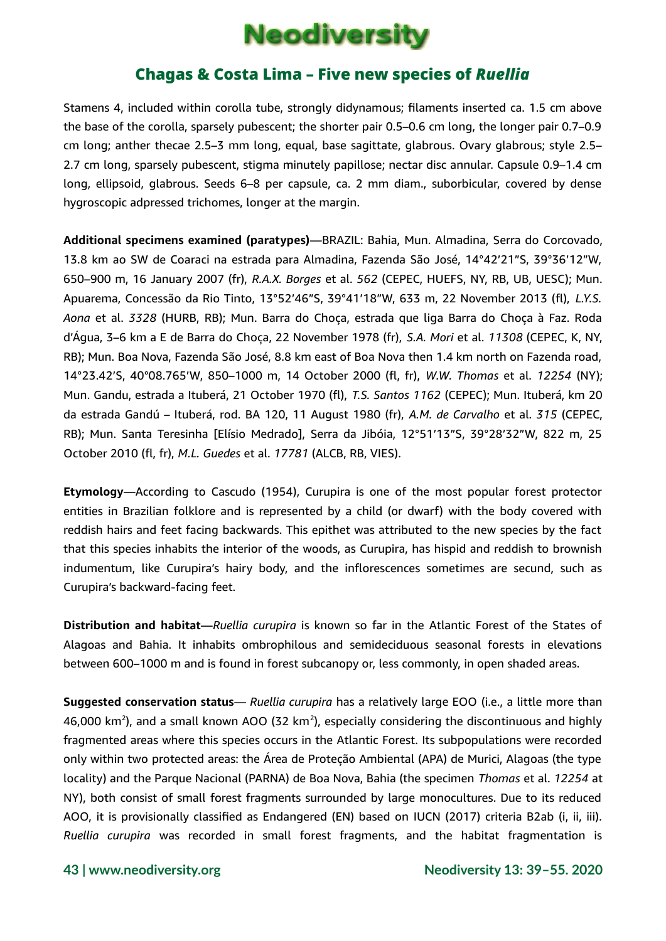

Stamens 4, included within corolla tube, strongly didynamous; filaments inserted ca. 1.5 cm above the base of the corolla, sparsely pubescent; the shorter pair 0.5–0.6 cm long, the longer pair 0.7–0.9 cm long; anther thecae 2.5–3 mm long, equal, base sagittate, glabrous. Ovary glabrous; style 2.5– 2.7 cm long, sparsely pubescent, stigma minutely papillose; nectar disc annular. Capsule 0.9–1.4 cm long, ellipsoid, glabrous. Seeds 6–8 per capsule, ca. 2 mm diam., suborbicular, covered by dense hygroscopic adpressed trichomes, longer at the margin.

**Additional specimens examined (paratypes)**—BRAZIL: Bahia, Mun. Almadina, Serra do Corcovado, 13.8 km ao SW de Coaraci na estrada para Almadina, Fazenda São José, 14°42'21"S, 39°36'12"W, 650–900 m, 16 January 2007 (fr), *R.A.X. Borges* et al. *562* (CEPEC, HUEFS, NY, RB, UB, UESC); Mun. Apuarema, Concessão da Rio Tinto, 13°52'46"S, 39°41'18"W, 633 m, 22 November 2013 (fl), *L.Y.S. Aona* et al. *3328* (HURB, RB); Mun. Barra do Choça, estrada que liga Barra do Choça à Faz. Roda d'Água, 3–6 km a E de Barra do Choça, 22 November 1978 (fr), *S.A. Mori* et al. *11308* (CEPEC, K, NY, RB); Mun. Boa Nova, Fazenda São José, 8.8 km east of Boa Nova then 1.4 km north on Fazenda road, 14°23.42'S, 40°08.765'W, 850–1000 m, 14 October 2000 (fl, fr), *W.W. Thomas* et al. *12254* (NY); Mun. Gandu, estrada a Ituberá, 21 October 1970 (fl), *T.S. Santos 1162* (CEPEC); Mun. Ituberá, km 20 da estrada Gandú – Ituberá, rod. BA 120, 11 August 1980 (fr), *A.M. de Carvalho* et al. *315* (CEPEC, RB); Mun. Santa Teresinha [Elísio Medrado], Serra da Jibóia, 12°51'13"S, 39°28'32"W, 822 m, 25 October 2010 (fl, fr), *M.L. Guedes* et al. *17781* (ALCB, RB, VIES).

**Etymology**—According to Cascudo (1954), Curupira is one of the most popular forest protector entities in Brazilian folklore and is represented by a child (or dwarf) with the body covered with reddish hairs and feet facing backwards. This epithet was attributed to the new species by the fact that this species inhabits the interior of the woods, as Curupira, has hispid and reddish to brownish indumentum, like Curupira's hairy body, and the inflorescences sometimes are secund, such as Curupira's backward-facing feet.

**Distribution and habitat**—*Ruellia curupira* is known so far in the Atlantic Forest of the States of Alagoas and Bahia. It inhabits ombrophilous and semideciduous seasonal forests in elevations between 600–1000 m and is found in forest subcanopy or, less commonly, in open shaded areas.

**Suggested conservation status**— *Ruellia curupira* has a relatively large EOO (i.e., a little more than 46,000 km<sup>2</sup>), and a small known AOO (32 km<sup>2</sup>), especially considering the discontinuous and highly fragmented areas where this species occurs in the Atlantic Forest. Its subpopulations were recorded only within two protected areas: the Área de Proteção Ambiental (APA) de Murici, Alagoas (the type locality) and the Parque Nacional (PARNA) de Boa Nova, Bahia (the specimen *Thomas* et al. *12254* at NY), both consist of small forest fragments surrounded by large monocultures. Due to its reduced AOO, it is provisionally classified as Endangered (EN) based on IUCN (2017) criteria B2ab (i, ii, iii). *Ruellia curupira* was recorded in small forest fragments, and the habitat fragmentation is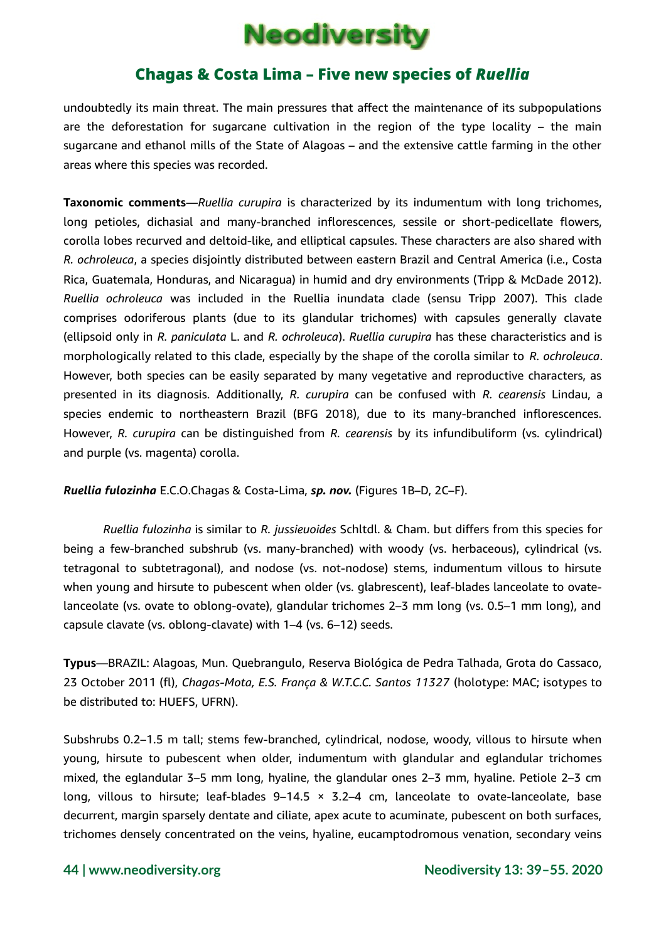

undoubtedly its main threat. The main pressures that affect the maintenance of its subpopulations are the deforestation for sugarcane cultivation in the region of the type locality – the main sugarcane and ethanol mills of the State of Alagoas – and the extensive cattle farming in the other areas where this species was recorded.

**Taxonomic comments**—*Ruellia curupira* is characterized by its indumentum with long trichomes, long petioles, dichasial and many-branched inflorescences, sessile or short-pedicellate flowers, corolla lobes recurved and deltoid-like, and elliptical capsules. These characters are also shared with *R. ochroleuca*, a species disjointly distributed between eastern Brazil and Central America (i.e., Costa Rica, Guatemala, Honduras, and Nicaragua) in humid and dry environments (Tripp & McDade 2012). *Ruellia ochroleuca* was included in the Ruellia inundata clade (sensu Tripp 2007). This clade comprises odoriferous plants (due to its glandular trichomes) with capsules generally clavate (ellipsoid only in *R. paniculata* L. and *R. ochroleuca*). *Ruellia curupira* has these characteristics and is morphologically related to this clade, especially by the shape of the corolla similar to *R. ochroleuca*. However, both species can be easily separated by many vegetative and reproductive characters, as presented in its diagnosis. Additionally, *R. curupira* can be confused with *R. cearensis* Lindau, a species endemic to northeastern Brazil (BFG 2018), due to its many-branched inflorescences. However, *R. curupira* can be distinguished from *R. cearensis* by its infundibuliform (vs. cylindrical) and purple (vs. magenta) corolla.

*Ruellia fulozinha* E.C.O.Chagas & Costa-Lima, *sp. nov.* (Figures 1B–D, 2C–F).

*Ruellia fulozinha* is similar to *R. jussieuoides* Schltdl. & Cham. but differs from this species for being a few-branched subshrub (vs. many-branched) with woody (vs. herbaceous), cylindrical (vs. tetragonal to subtetragonal), and nodose (vs. not-nodose) stems, indumentum villous to hirsute when young and hirsute to pubescent when older (vs. glabrescent), leaf-blades lanceolate to ovatelanceolate (vs. ovate to oblong-ovate), glandular trichomes 2–3 mm long (vs. 0.5–1 mm long), and capsule clavate (vs. oblong-clavate) with 1–4 (vs. 6–12) seeds.

**Typus**—BRAZIL: Alagoas, Mun. Quebrangulo, Reserva Biológica de Pedra Talhada, Grota do Cassaco, 23 October 2011 (fl), *Chagas-Mota, E.S. França & W.T.C.C. Santos 11327* (holotype: MAC; isotypes to be distributed to: HUEFS, UFRN).

Subshrubs 0.2–1.5 m tall; stems few-branched, cylindrical, nodose, woody, villous to hirsute when young, hirsute to pubescent when older, indumentum with glandular and eglandular trichomes mixed, the eglandular 3–5 mm long, hyaline, the glandular ones 2–3 mm, hyaline. Petiole 2–3 cm long, villous to hirsute; leaf-blades  $9-14.5 \times 3.2-4$  cm, lanceolate to ovate-lanceolate, base decurrent, margin sparsely dentate and ciliate, apex acute to acuminate, pubescent on both surfaces, trichomes densely concentrated on the veins, hyaline, eucamptodromous venation, secondary veins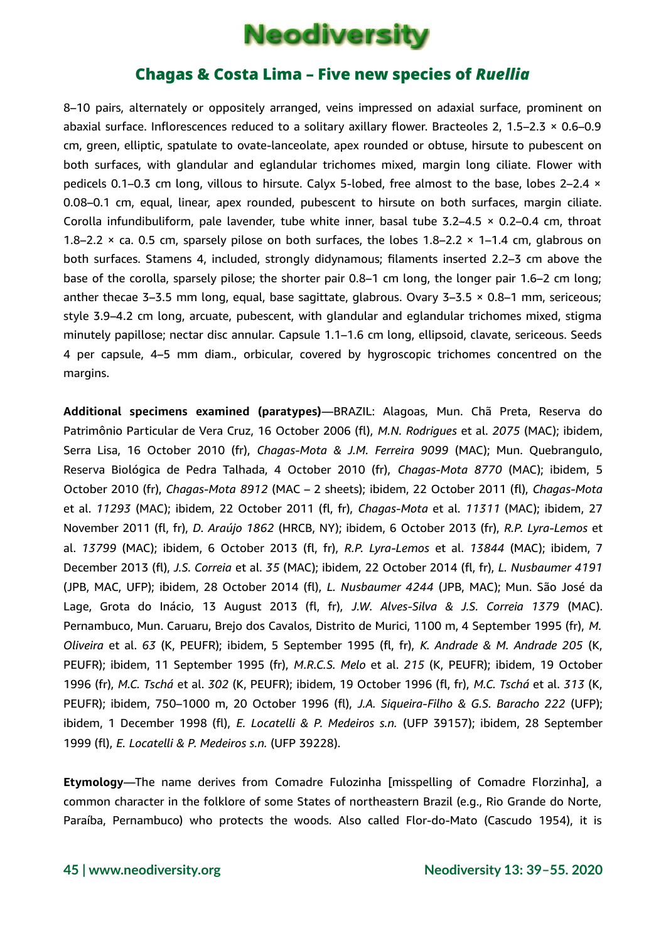

8–10 pairs, alternately or oppositely arranged, veins impressed on adaxial surface, prominent on abaxial surface. Inflorescences reduced to a solitary axillary flower. Bracteoles 2, 1.5–2.3 × 0.6–0.9 cm, green, elliptic, spatulate to ovate-lanceolate, apex rounded or obtuse, hirsute to pubescent on both surfaces, with glandular and eglandular trichomes mixed, margin long ciliate. Flower with pedicels 0.1–0.3 cm long, villous to hirsute. Calyx 5-lobed, free almost to the base, lobes 2–2.4 × 0.08–0.1 cm, equal, linear, apex rounded, pubescent to hirsute on both surfaces, margin ciliate. Corolla infundibuliform, pale lavender, tube white inner, basal tube  $3.2-4.5 \times 0.2-0.4$  cm, throat 1.8–2.2  $\times$  ca. 0.5 cm, sparsely pilose on both surfaces, the lobes 1.8–2.2  $\times$  1–1.4 cm, glabrous on both surfaces. Stamens 4, included, strongly didynamous; filaments inserted 2.2–3 cm above the base of the corolla, sparsely pilose; the shorter pair 0.8–1 cm long, the longer pair 1.6–2 cm long; anther thecae 3–3.5 mm long, equal, base sagittate, glabrous. Ovary 3–3.5 × 0.8–1 mm, sericeous; style 3.9–4.2 cm long, arcuate, pubescent, with glandular and eglandular trichomes mixed, stigma minutely papillose; nectar disc annular. Capsule 1.1–1.6 cm long, ellipsoid, clavate, sericeous. Seeds 4 per capsule, 4–5 mm diam., orbicular, covered by hygroscopic trichomes concentred on the margins.

**Additional specimens examined (paratypes)**—BRAZIL: Alagoas, Mun. Chã Preta, Reserva do Patrimônio Particular de Vera Cruz, 16 October 2006 (fl), *M.N. Rodrigues* et al. *2075* (MAC); ibidem, Serra Lisa, 16 October 2010 (fr), *Chagas-Mota & J.M. Ferreira 9099* (MAC); Mun. Quebrangulo, Reserva Biológica de Pedra Talhada, 4 October 2010 (fr), *Chagas-Mota 8770* (MAC); ibidem, 5 October 2010 (fr), *Chagas-Mota 8912* (MAC – 2 sheets); ibidem, 22 October 2011 (fl), *Chagas-Mota* et al. *11293* (MAC); ibidem, 22 October 2011 (fl, fr), *Chagas-Mota* et al. *11311* (MAC); ibidem, 27 November 2011 (fl, fr), *D. Araújo 1862* (HRCB, NY); ibidem, 6 October 2013 (fr), *R.P. Lyra-Lemos* et al. *13799* (MAC); ibidem, 6 October 2013 (fl, fr), *R.P. Lyra-Lemos* et al. *13844* (MAC); ibidem, 7 December 2013 (fl), *J.S. Correia* et al. *35* (MAC); ibidem, 22 October 2014 (fl, fr), *L. Nusbaumer 4191* (JPB, MAC, UFP); ibidem, 28 October 2014 (fl), *L. Nusbaumer 4244* (JPB, MAC); Mun. São José da Lage, Grota do Inácio, 13 August 2013 (fl, fr), *J.W. Alves-Silva & J.S. Correia 1379* (MAC). Pernambuco, Mun. Caruaru, Brejo dos Cavalos, Distrito de Murici, 1100 m, 4 September 1995 (fr), *M. Oliveira* et al. *63* (K, PEUFR); ibidem, 5 September 1995 (fl, fr), *K. Andrade & M. Andrade 205* (K, PEUFR); ibidem, 11 September 1995 (fr), *M.R.C.S. Melo* et al. *215* (K, PEUFR); ibidem, 19 October 1996 (fr), *M.C. Tschá* et al. *302* (K, PEUFR); ibidem, 19 October 1996 (fl, fr), *M.C. Tschá* et al. *313* (K, PEUFR); ibidem, 750–1000 m, 20 October 1996 (fl), *J.A. Siqueira-Filho & G.S. Baracho 222* (UFP); ibidem, 1 December 1998 (fl), *E. Locatelli & P. Medeiros s.n.* (UFP 39157); ibidem, 28 September 1999 (fl), *E. Locatelli & P. Medeiros s.n.* (UFP 39228).

**Etymology**—The name derives from Comadre Fulozinha [misspelling of Comadre Florzinha], a common character in the folklore of some States of northeastern Brazil (e.g., Rio Grande do Norte, Paraíba, Pernambuco) who protects the woods. Also called Flor-do-Mato (Cascudo 1954), it is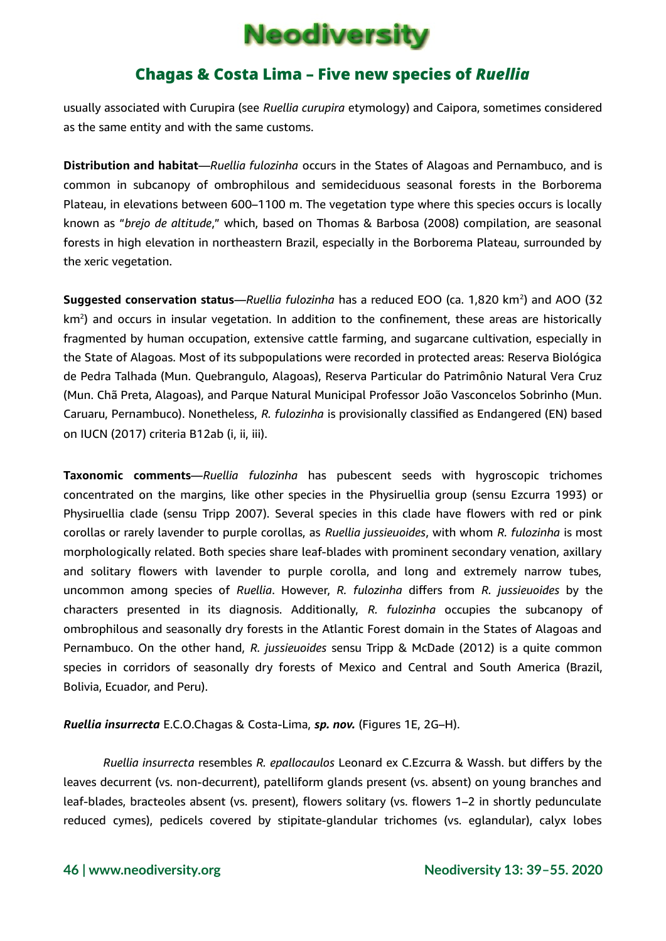## **Neodiversity**

### Chagas & Costa Lima – Five new species of *Ruellia*

usually associated with Curupira (see *Ruellia curupira* etymology) and Caipora, sometimes considered as the same entity and with the same customs.

**Distribution and habitat**—*Ruellia fulozinha* occurs in the States of Alagoas and Pernambuco, and is common in subcanopy of ombrophilous and semideciduous seasonal forests in the Borborema Plateau, in elevations between 600–1100 m. The vegetation type where this species occurs is locally known as "*brejo de altitude*," which, based on Thomas & Barbosa (2008) compilation, are seasonal forests in high elevation in northeastern Brazil, especially in the Borborema Plateau, surrounded by the xeric vegetation.

**Suggested conservation status**—*Ruellia fulozinha* has a reduced EOO (ca. 1,820 km<sup>2</sup>) and AOO (32 km<sup>2</sup>) and occurs in insular vegetation. In addition to the confinement, these areas are historically fragmented by human occupation, extensive cattle farming, and sugarcane cultivation, especially in the State of Alagoas. Most of its subpopulations were recorded in protected areas: Reserva Biológica de Pedra Talhada (Mun. Quebrangulo, Alagoas), Reserva Particular do Patrimônio Natural Vera Cruz (Mun. Chã Preta, Alagoas), and Parque Natural Municipal Professor João Vasconcelos Sobrinho (Mun. Caruaru, Pernambuco). Nonetheless, *R. fulozinha* is provisionally classified as Endangered (EN) based on IUCN (2017) criteria B12ab (i, ii, iii).

**Taxonomic comments**—*Ruellia fulozinha* has pubescent seeds with hygroscopic trichomes concentrated on the margins, like other species in the Physiruellia group (sensu Ezcurra 1993) or Physiruellia clade (sensu Tripp 2007). Several species in this clade have flowers with red or pink corollas or rarely lavender to purple corollas, as *Ruellia jussieuoides*, with whom *R. fulozinha* is most morphologically related. Both species share leaf-blades with prominent secondary venation, axillary and solitary flowers with lavender to purple corolla, and long and extremely narrow tubes, uncommon among species of *Ruellia*. However, *R. fulozinha* differs from *R. jussieuoides* by the characters presented in its diagnosis. Additionally, *R. fulozinha* occupies the subcanopy of ombrophilous and seasonally dry forests in the Atlantic Forest domain in the States of Alagoas and Pernambuco. On the other hand, *R. jussieuoides* sensu Tripp & McDade (2012) is a quite common species in corridors of seasonally dry forests of Mexico and Central and South America (Brazil, Bolivia, Ecuador, and Peru).

*Ruellia insurrecta* E.C.O.Chagas & Costa-Lima, *sp. nov.* (Figures 1E, 2G–H).

*Ruellia insurrecta* resembles *R. epallocaulos* Leonard ex C.Ezcurra & Wassh. but differs by the leaves decurrent (vs. non-decurrent), patelliform glands present (vs. absent) on young branches and leaf-blades, bracteoles absent (vs. present), flowers solitary (vs. flowers 1–2 in shortly pedunculate reduced cymes), pedicels covered by stipitate-glandular trichomes (vs. eglandular), calyx lobes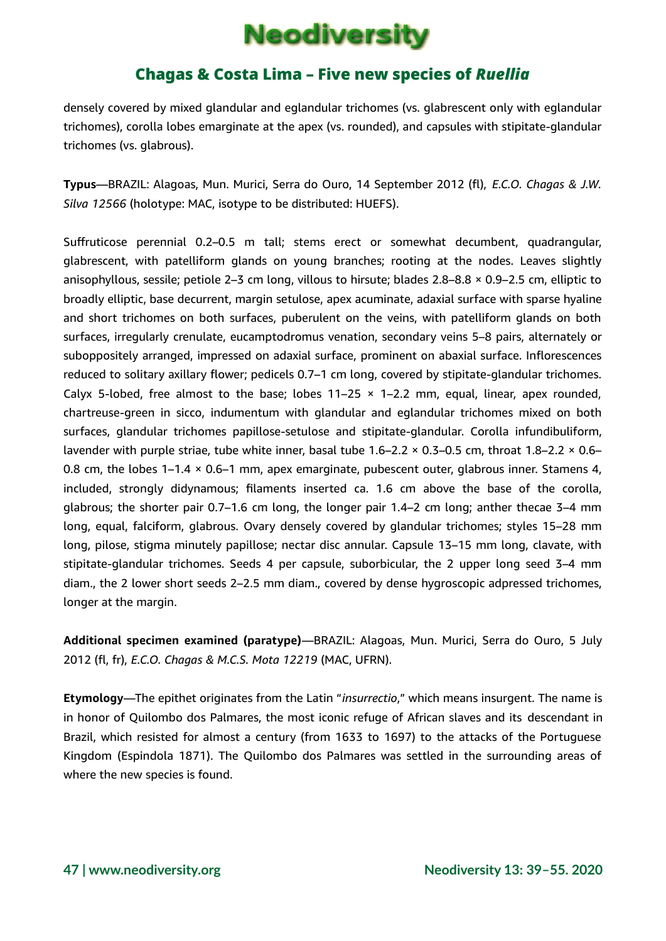# **Neodiversity**

### Chagas & Costa Lima – Five new species of *Ruellia*

densely covered by mixed glandular and eglandular trichomes (vs. glabrescent only with eglandular trichomes), corolla lobes emarginate at the apex (vs. rounded), and capsules with stipitate-glandular trichomes (vs. glabrous).

**Typus**—BRAZIL: Alagoas, Mun. Murici, Serra do Ouro, 14 September 2012 (fl), *E.C.O. Chagas & J.W. Silva 12566* (holotype: MAC, isotype to be distributed: HUEFS).

Suffruticose perennial 0.2–0.5 m tall; stems erect or somewhat decumbent, quadrangular, glabrescent, with patelliform glands on young branches; rooting at the nodes. Leaves slightly anisophyllous, sessile; petiole 2–3 cm long, villous to hirsute; blades 2.8–8.8 × 0.9–2.5 cm, elliptic to broadly elliptic, base decurrent, margin setulose, apex acuminate, adaxial surface with sparse hyaline and short trichomes on both surfaces, puberulent on the veins, with patelliform glands on both surfaces, irregularly crenulate, eucamptodromus venation, secondary veins 5–8 pairs, alternately or suboppositely arranged, impressed on adaxial surface, prominent on abaxial surface. Inflorescences reduced to solitary axillary flower; pedicels 0.7–1 cm long, covered by stipitate-glandular trichomes. Calyx 5-lobed, free almost to the base; lobes  $11-25 \times 1-2.2$  mm, equal, linear, apex rounded, chartreuse-green in sicco, indumentum with glandular and eglandular trichomes mixed on both surfaces, glandular trichomes papillose-setulose and stipitate-glandular. Corolla infundibuliform, lavender with purple striae, tube white inner, basal tube 1.6–2.2 × 0.3–0.5 cm, throat 1.8–2.2 × 0.6– 0.8 cm, the lobes  $1-1.4 \times 0.6-1$  mm, apex emarginate, pubescent outer, glabrous inner. Stamens 4, included, strongly didynamous; filaments inserted ca. 1.6 cm above the base of the corolla, glabrous; the shorter pair 0.7–1.6 cm long, the longer pair 1.4–2 cm long; anther thecae 3–4 mm long, equal, falciform, glabrous. Ovary densely covered by glandular trichomes; styles 15–28 mm long, pilose, stigma minutely papillose; nectar disc annular. Capsule 13–15 mm long, clavate, with stipitate-glandular trichomes. Seeds 4 per capsule, suborbicular, the 2 upper long seed 3–4 mm diam., the 2 lower short seeds 2–2.5 mm diam., covered by dense hygroscopic adpressed trichomes, longer at the margin.

**Additional specimen examined (paratype)**—BRAZIL: Alagoas, Mun. Murici, Serra do Ouro, 5 July 2012 (fl, fr), *E.C.O. Chagas & M.C.S. Mota 12219* (MAC, UFRN).

**Etymology**—The epithet originates from the Latin "*insurrectio*," which means insurgent. The name is in honor of Quilombo dos Palmares, the most iconic refuge of African slaves and its descendant in Brazil, which resisted for almost a century (from 1633 to 1697) to the attacks of the Portuguese Kingdom (Espindola 1871). The Quilombo dos Palmares was settled in the surrounding areas of where the new species is found.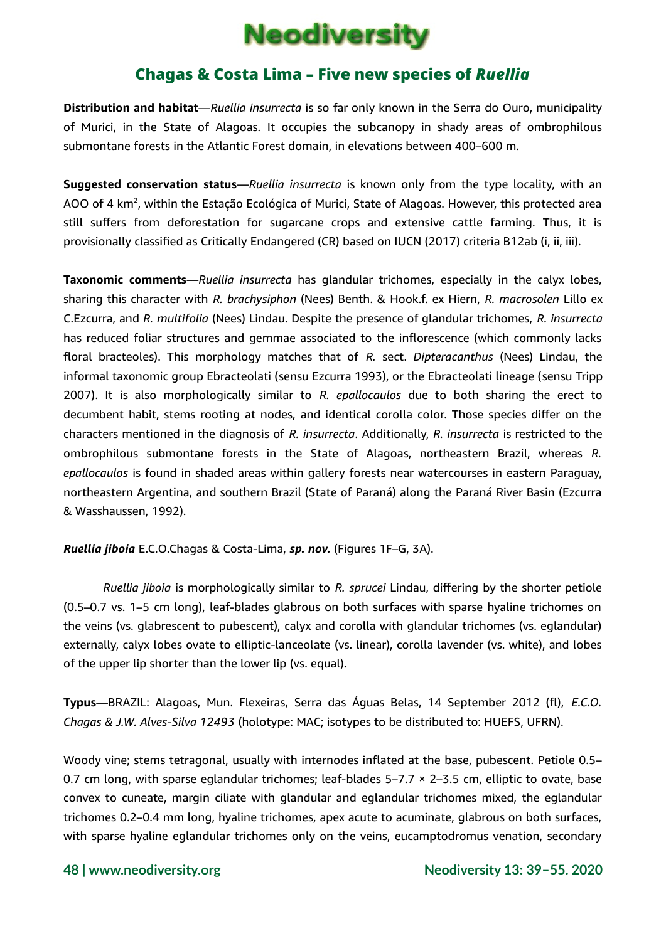

**Distribution and habitat**—*Ruellia insurrecta* is so far only known in the Serra do Ouro, municipality of Murici, in the State of Alagoas. It occupies the subcanopy in shady areas of ombrophilous submontane forests in the Atlantic Forest domain, in elevations between 400–600 m.

**Suggested conservation status**—*Ruellia insurrecta* is known only from the type locality, with an AOO of 4 km<sup>2</sup>, within the Estação Ecológica of Murici, State of Alagoas. However, this protected area still suffers from deforestation for sugarcane crops and extensive cattle farming. Thus, it is provisionally classified as Critically Endangered (CR) based on IUCN (2017) criteria B12ab (i, ii, iii).

**Taxonomic comments**—*Ruellia insurrecta* has glandular trichomes, especially in the calyx lobes, sharing this character with *R. brachysiphon* (Nees) Benth. & Hook.f. ex Hiern, *R. macrosolen* Lillo ex C.Ezcurra, and *R. multifolia* (Nees) Lindau. Despite the presence of glandular trichomes, *R. insurrecta* has reduced foliar structures and gemmae associated to the inflorescence (which commonly lacks floral bracteoles). This morphology matches that of *R.* sect. *Dipteracanthus* (Nees) Lindau, the informal taxonomic group Ebracteolati (sensu Ezcurra 1993), or the Ebracteolati lineage (sensu Tripp 2007). It is also morphologically similar to *R. epallocaulos* due to both sharing the erect to decumbent habit, stems rooting at nodes, and identical corolla color. Those species differ on the characters mentioned in the diagnosis of *R. insurrecta*. Additionally, *R. insurrecta* is restricted to the ombrophilous submontane forests in the State of Alagoas, northeastern Brazil, whereas *R. epallocaulos* is found in shaded areas within gallery forests near watercourses in eastern Paraguay, northeastern Argentina, and southern Brazil (State of Paraná) along the Paraná River Basin (Ezcurra & Wasshaussen, 1992).

*Ruellia jiboia* E.C.O.Chagas & Costa-Lima, *sp. nov.* (Figures 1F–G, 3A).

*Ruellia jiboia* is morphologically similar to *R. sprucei* Lindau, differing by the shorter petiole (0.5–0.7 vs. 1–5 cm long), leaf-blades glabrous on both surfaces with sparse hyaline trichomes on the veins (vs. glabrescent to pubescent), calyx and corolla with glandular trichomes (vs. eglandular) externally, calyx lobes ovate to elliptic-lanceolate (vs. linear), corolla lavender (vs. white), and lobes of the upper lip shorter than the lower lip (vs. equal).

**Typus**—BRAZIL: Alagoas, Mun. Flexeiras, Serra das Águas Belas, 14 September 2012 (fl), *E.C.O. Chagas & J.W. Alves-Silva 12493* (holotype: MAC; isotypes to be distributed to: HUEFS, UFRN).

Woody vine; stems tetragonal, usually with internodes inflated at the base, pubescent. Petiole 0.5– 0.7 cm long, with sparse eglandular trichomes; leaf-blades 5–7.7 × 2–3.5 cm, elliptic to ovate, base convex to cuneate, margin ciliate with glandular and eglandular trichomes mixed, the eglandular trichomes 0.2–0.4 mm long, hyaline trichomes, apex acute to acuminate, glabrous on both surfaces, with sparse hyaline eglandular trichomes only on the veins, eucamptodromus venation, secondary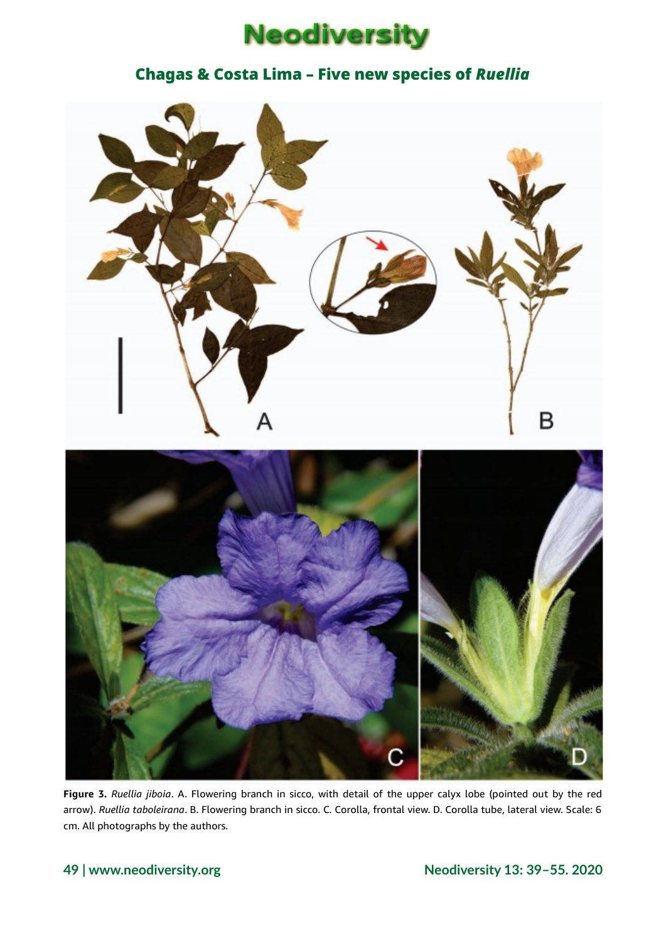



**Figure 3.** *Ruellia jiboia*. A. Flowering branch in sicco, with detail of the upper calyx lobe (pointed out by the red arrow). *Ruellia taboleirana*. B. Flowering branch in sicco. C. Corolla, frontal view. D. Corolla tube, lateral view. Scale: 6 cm. All photographs by the authors.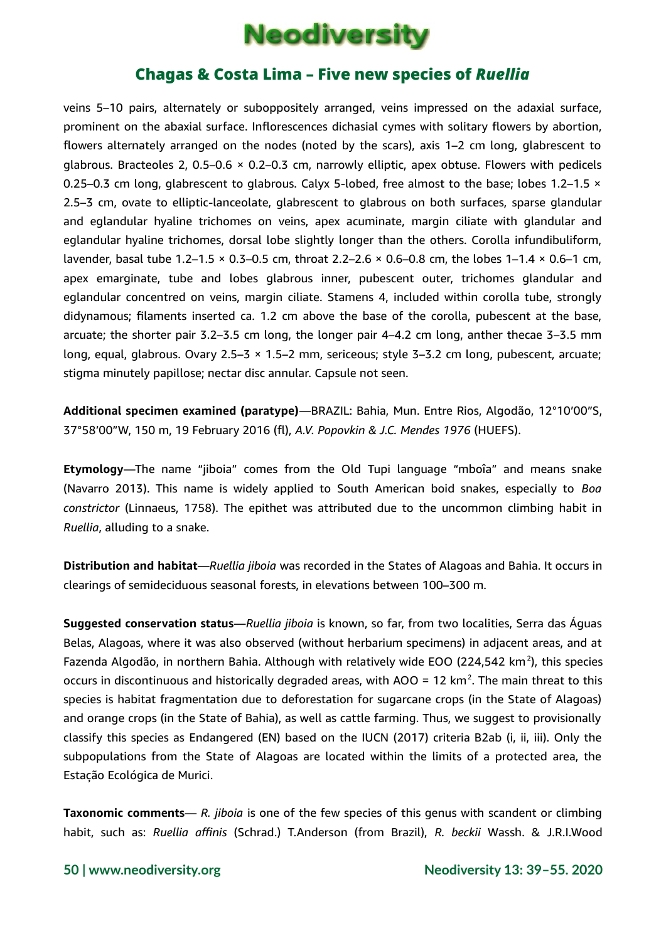

veins 5–10 pairs, alternately or suboppositely arranged, veins impressed on the adaxial surface, prominent on the abaxial surface. Inflorescences dichasial cymes with solitary flowers by abortion, flowers alternately arranged on the nodes (noted by the scars), axis 1–2 cm long, glabrescent to glabrous. Bracteoles 2, 0.5–0.6 × 0.2–0.3 cm, narrowly elliptic, apex obtuse. Flowers with pedicels 0.25–0.3 cm long, glabrescent to glabrous. Calyx 5-lobed, free almost to the base; lobes 1.2–1.5  $\times$ 2.5–3 cm, ovate to elliptic-lanceolate, glabrescent to glabrous on both surfaces, sparse glandular and eglandular hyaline trichomes on veins, apex acuminate, margin ciliate with glandular and eglandular hyaline trichomes, dorsal lobe slightly longer than the others. Corolla infundibuliform, lavender, basal tube 1.2–1.5  $\times$  0.3–0.5 cm, throat 2.2–2.6  $\times$  0.6–0.8 cm, the lobes 1–1.4  $\times$  0.6–1 cm, apex emarginate, tube and lobes glabrous inner, pubescent outer, trichomes glandular and eglandular concentred on veins, margin ciliate. Stamens 4, included within corolla tube, strongly didynamous; filaments inserted ca. 1.2 cm above the base of the corolla, pubescent at the base, arcuate; the shorter pair 3.2–3.5 cm long, the longer pair 4–4.2 cm long, anther thecae 3–3.5 mm long, equal, glabrous. Ovary 2.5–3 × 1.5–2 mm, sericeous; style 3–3.2 cm long, pubescent, arcuate; stigma minutely papillose; nectar disc annular. Capsule not seen.

**Additional specimen examined (paratype)**—BRAZIL: Bahia, Mun. Entre Rios, Algodão, 12°10'00"S, 37°58'00"W, 150 m, 19 February 2016 (fl), *A.V. Popovkin & J.C. Mendes 1976* (HUEFS).

**Etymology**—The name "jiboia" comes from the Old Tupi language "mboîa" and means snake (Navarro 2013). This name is widely applied to South American boid snakes, especially to *Boa constrictor* (Linnaeus, 1758). The epithet was attributed due to the uncommon climbing habit in *Ruellia*, alluding to a snake.

**Distribution and habitat**—*Ruellia jiboia* was recorded in the States of Alagoas and Bahia. It occurs in clearings of semideciduous seasonal forests, in elevations between 100–300 m.

**Suggested conservation status**—*Ruellia jiboia* is known, so far, from two localities, Serra das Águas Belas, Alagoas, where it was also observed (without herbarium specimens) in adjacent areas, and at Fazenda Algodão, in northern Bahia. Although with relatively wide EOO (224,542 km<sup>2</sup>), this species occurs in discontinuous and historically degraded areas, with AOO = 12 km<sup>2</sup>. The main threat to this species is habitat fragmentation due to deforestation for sugarcane crops (in the State of Alagoas) and orange crops (in the State of Bahia), as well as cattle farming. Thus, we suggest to provisionally classify this species as Endangered (EN) based on the IUCN (2017) criteria B2ab (i, ii, iii). Only the subpopulations from the State of Alagoas are located within the limits of a protected area, the Estação Ecológica de Murici.

**Taxonomic comments**— *R. jiboia* is one of the few species of this genus with scandent or climbing habit, such as: *Ruellia affinis* (Schrad.) T.Anderson (from Brazil), *R. beckii* Wassh. & J.R.I.Wood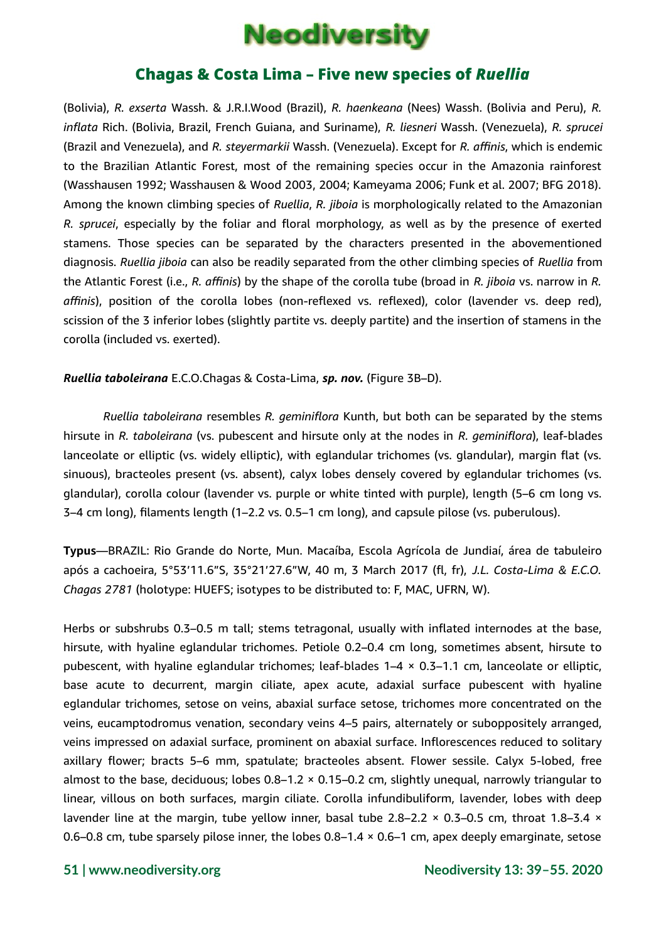

(Bolivia), *R. exserta* Wassh. & J.R.I.Wood (Brazil), *R. haenkeana* (Nees) Wassh. (Bolivia and Peru), *R. inflata* Rich. (Bolivia, Brazil, French Guiana, and Suriname), *R. liesneri* Wassh. (Venezuela), *R. sprucei* (Brazil and Venezuela), and *R. steyermarkii* Wassh. (Venezuela). Except for *R. affinis*, which is endemic to the Brazilian Atlantic Forest, most of the remaining species occur in the Amazonia rainforest (Wasshausen 1992; Wasshausen & Wood 2003, 2004; Kameyama 2006; Funk et al. 2007; BFG 2018). Among the known climbing species of *Ruellia*, *R. jiboia* is morphologically related to the Amazonian *R. sprucei*, especially by the foliar and floral morphology, as well as by the presence of exerted stamens. Those species can be separated by the characters presented in the abovementioned diagnosis. *Ruellia jiboia* can also be readily separated from the other climbing species of *Ruellia* from the Atlantic Forest (i.e., *R. affinis*) by the shape of the corolla tube (broad in *R. jiboia* vs. narrow in *R. affinis*), position of the corolla lobes (non-reflexed vs. reflexed), color (lavender vs. deep red), scission of the 3 inferior lobes (slightly partite vs. deeply partite) and the insertion of stamens in the corolla (included vs. exerted).

*Ruellia taboleirana* E.C.O.Chagas & Costa-Lima, *sp. nov.* (Figure 3B–D).

*Ruellia taboleirana* resembles *R. geminiflora* Kunth, but both can be separated by the stems hirsute in *R. taboleirana* (vs. pubescent and hirsute only at the nodes in *R. geminiflora*), leaf-blades lanceolate or elliptic (vs. widely elliptic), with eglandular trichomes (vs. glandular), margin flat (vs. sinuous), bracteoles present (vs. absent), calyx lobes densely covered by eglandular trichomes (vs. glandular), corolla colour (lavender vs. purple or white tinted with purple), length (5–6 cm long vs. 3–4 cm long), filaments length (1–2.2 vs. 0.5–1 cm long), and capsule pilose (vs. puberulous).

**Typus**—BRAZIL: Rio Grande do Norte, Mun. Macaíba, Escola Agrícola de Jundiaí, área de tabuleiro após a cachoeira, 5°53'11.6"S, 35°21'27.6"W, 40 m, 3 March 2017 (fl, fr), *J.L. Costa-Lima & E.C.O. Chagas 2781* (holotype: HUEFS; isotypes to be distributed to: F, MAC, UFRN, W).

Herbs or subshrubs 0.3–0.5 m tall; stems tetragonal, usually with inflated internodes at the base, hirsute, with hyaline eglandular trichomes. Petiole 0.2–0.4 cm long, sometimes absent, hirsute to pubescent, with hyaline eglandular trichomes; leaf-blades 1–4 × 0.3–1.1 cm, lanceolate or elliptic, base acute to decurrent, margin ciliate, apex acute, adaxial surface pubescent with hyaline eglandular trichomes, setose on veins, abaxial surface setose, trichomes more concentrated on the veins, eucamptodromus venation, secondary veins 4–5 pairs, alternately or suboppositely arranged, veins impressed on adaxial surface, prominent on abaxial surface. Inflorescences reduced to solitary axillary flower; bracts 5–6 mm, spatulate; bracteoles absent. Flower sessile. Calyx 5-lobed, free almost to the base, deciduous; lobes  $0.8-1.2 \times 0.15-0.2$  cm, slightly unequal, narrowly triangular to linear, villous on both surfaces, margin ciliate. Corolla infundibuliform, lavender, lobes with deep lavender line at the margin, tube yellow inner, basal tube 2.8–2.2  $\times$  0.3–0.5 cm, throat 1.8–3.4  $\times$ 0.6–0.8 cm, tube sparsely pilose inner, the lobes 0.8–1.4 × 0.6–1 cm, apex deeply emarginate, setose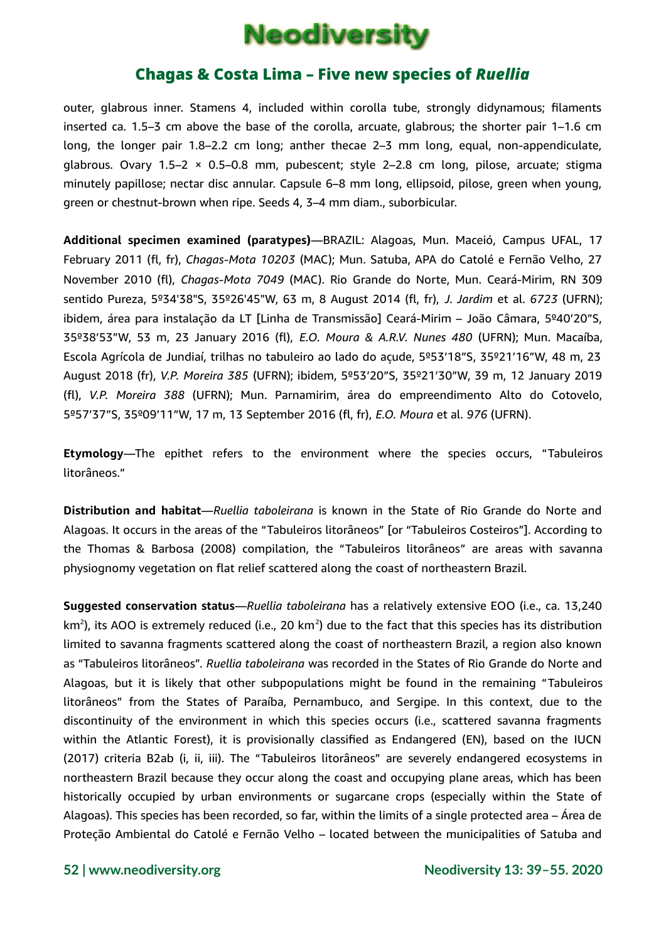

outer, glabrous inner. Stamens 4, included within corolla tube, strongly didynamous; filaments inserted ca. 1.5–3 cm above the base of the corolla, arcuate, glabrous; the shorter pair 1–1.6 cm long, the longer pair 1.8–2.2 cm long; anther thecae 2–3 mm long, equal, non-appendiculate, glabrous. Ovary 1.5–2 × 0.5–0.8 mm, pubescent; style 2–2.8 cm long, pilose, arcuate; stigma minutely papillose; nectar disc annular. Capsule 6–8 mm long, ellipsoid, pilose, green when young, green or chestnut-brown when ripe. Seeds 4, 3–4 mm diam., suborbicular.

**Additional specimen examined (paratypes)**—BRAZIL: Alagoas, Mun. Maceió, Campus UFAL, 17 February 2011 (fl, fr), *Chagas-Mota 10203* (MAC); Mun. Satuba, APA do Catolé e Fernão Velho, 27 November 2010 (fl), *Chagas-Mota 7049* (MAC). Rio Grande do Norte, Mun. Ceará-Mirim, RN 309 sentido Pureza, 5º34'38"S, 35º26'45"W, 63 m, 8 August 2014 (fl, fr), *J. Jardim* et al. *6723* (UFRN); ibidem, área para instalação da LT [Linha de Transmissão] Ceará-Mirim – João Câmara, 5º40'20"S, 35º38'53"W, 53 m, 23 January 2016 (fl), *E.O. Moura & A.R.V. Nunes 480* (UFRN); Mun. Macaíba, Escola Agrícola de Jundiaí, trilhas no tabuleiro ao lado do açude, 5º53'18"S, 35º21'16"W, 48 m, 23 August 2018 (fr), *V.P. Moreira 385* (UFRN); ibidem, 5º53'20"S, 35º21'30"W, 39 m, 12 January 2019 (fl), *V.P. Moreira 388* (UFRN); Mun. Parnamirim, área do empreendimento Alto do Cotovelo, 5º57'37"S, 35º09'11"W, 17 m, 13 September 2016 (fl, fr), *E.O. Moura* et al. *976* (UFRN).

**Etymology**—The epithet refers to the environment where the species occurs, "Tabuleiros litorâneos."

**Distribution and habitat**—*Ruellia taboleirana* is known in the State of Rio Grande do Norte and Alagoas. It occurs in the areas of the "Tabuleiros litorâneos" [or "Tabuleiros Costeiros"]. According to the Thomas & Barbosa (2008) compilation, the "Tabuleiros litorâneos" are areas with savanna physiognomy vegetation on flat relief scattered along the coast of northeastern Brazil.

**Suggested conservation status**—*Ruellia taboleirana* has a relatively extensive EOO (i.e., ca. 13,240 km<sup>2</sup>), its AOO is extremely reduced (i.e., 20 km<sup>2</sup>) due to the fact that this species has its distribution limited to savanna fragments scattered along the coast of northeastern Brazil, a region also known as "Tabuleiros litorâneos". *Ruellia taboleirana* was recorded in the States of Rio Grande do Norte and Alagoas, but it is likely that other subpopulations might be found in the remaining "Tabuleiros litorâneos" from the States of Paraíba, Pernambuco, and Sergipe. In this context, due to the discontinuity of the environment in which this species occurs (i.e., scattered savanna fragments within the Atlantic Forest), it is provisionally classified as Endangered (EN), based on the IUCN (2017) criteria B2ab (i, ii, iii). The "Tabuleiros litorâneos" are severely endangered ecosystems in northeastern Brazil because they occur along the coast and occupying plane areas, which has been historically occupied by urban environments or sugarcane crops (especially within the State of Alagoas). This species has been recorded, so far, within the limits of a single protected area – Área de Proteção Ambiental do Catolé e Fernão Velho – located between the municipalities of Satuba and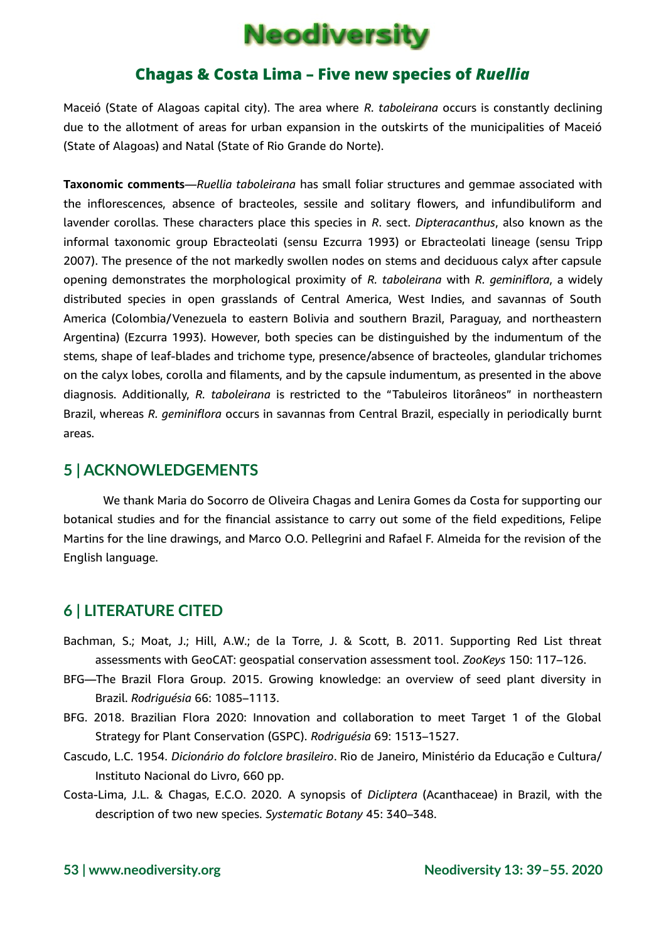

Maceió (State of Alagoas capital city). The area where *R. taboleirana* occurs is constantly declining due to the allotment of areas for urban expansion in the outskirts of the municipalities of Maceió (State of Alagoas) and Natal (State of Rio Grande do Norte).

**Taxonomic comments**—*Ruellia taboleirana* has small foliar structures and gemmae associated with the inflorescences, absence of bracteoles, sessile and solitary flowers, and infundibuliform and lavender corollas. These characters place this species in *R*. sect. *Dipteracanthus*, also known as the informal taxonomic group Ebracteolati (sensu Ezcurra 1993) or Ebracteolati lineage (sensu Tripp 2007). The presence of the not markedly swollen nodes on stems and deciduous calyx after capsule opening demonstrates the morphological proximity of *R. taboleirana* with *R. geminiflora*, a widely distributed species in open grasslands of Central America, West Indies, and savannas of South America (Colombia/Venezuela to eastern Bolivia and southern Brazil, Paraguay, and northeastern Argentina) (Ezcurra 1993). However, both species can be distinguished by the indumentum of the stems, shape of leaf-blades and trichome type, presence/absence of bracteoles, glandular trichomes on the calyx lobes, corolla and filaments, and by the capsule indumentum, as presented in the above diagnosis. Additionally, *R. taboleirana* is restricted to the "Tabuleiros litorâneos" in northeastern Brazil, whereas *R. geminiflora* occurs in savannas from Central Brazil, especially in periodically burnt areas.

### **5 | ACKNOWLEDGEMENTS**

We thank Maria do Socorro de Oliveira Chagas and Lenira Gomes da Costa for supporting our botanical studies and for the financial assistance to carry out some of the field expeditions, Felipe Martins for the line drawings, and Marco O.O. Pellegrini and Rafael F. Almeida for the revision of the English language.

### **6 | LITERATURE CITED**

- Bachman, S.; Moat, J.; Hill, A.W.; de la Torre, J. & Scott, B. 2011. Supporting Red List threat assessments with GeoCAT: geospatial conservation assessment tool. *ZooKeys* 150: 117–126.
- BFG—The Brazil Flora Group. 2015. Growing knowledge: an overview of seed plant diversity in Brazil. *Rodriguésia* 66: 1085–1113.
- BFG. 2018. Brazilian Flora 2020: Innovation and collaboration to meet Target 1 of the Global Strategy for Plant Conservation (GSPC). *Rodriguésia* 69: 1513–1527.
- Cascudo, L.C. 1954. *Dicionário do folclore brasileiro*. Rio de Janeiro, Ministério da Educação e Cultura/ Instituto Nacional do Livro, 660 pp.
- Costa-Lima, J.L. & Chagas, E.C.O. 2020. A synopsis of *Dicliptera* (Acanthaceae) in Brazil, with the description of two new species. *Systematic Botany* 45: 340–348.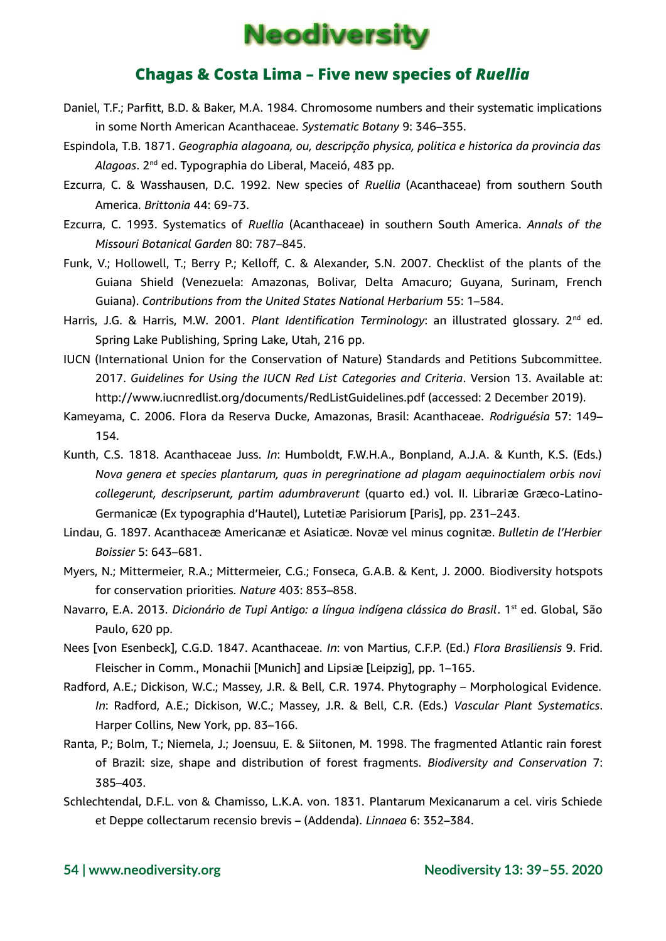

- Daniel, T.F.; Parfitt, B.D. & Baker, M.A. 1984. Chromosome numbers and their systematic implications in some North American Acanthaceae. *Systematic Botany* 9: 346–355.
- Espindola, T.B. 1871. *Geographia alagoana, ou, descripção physica, politica e historica da provincia das* Al*agoas*. 2<sup>nd</sup> ed. Typographia do Liberal, Maceió, 483 pp.
- Ezcurra, C. & Wasshausen, D.C. 1992. New species of *Ruellia* (Acanthaceae) from southern South America. *Brittonia* 44: 69-73.
- Ezcurra, C. 1993. Systematics of *Ruellia* (Acanthaceae) in southern South America. *Annals of the Missouri Botanical Garden* 80: 787–845.
- Funk, V.; Hollowell, T.; Berry P.; Kelloff, C. & Alexander, S.N. 2007. Checklist of the plants of the Guiana Shield (Venezuela: Amazonas, Bolivar, Delta Amacuro; Guyana, Surinam, French Guiana). *Contributions from the United States National Herbarium* 55: 1–584.
- Harris, J.G. & Harris, M.W. 2001. *Plant Identification Terminology*: an illustrated glossary. 2<sup>nd</sup> ed. Spring Lake Publishing, Spring Lake, Utah, 216 pp.
- IUCN (International Union for the Conservation of Nature) Standards and Petitions Subcommittee. 2017. *Guidelines for Using the IUCN Red List Categories and Criteria*. Version 13. Available at: http://www.iucnredlist.org/documents/RedListGuidelines.pdf (accessed: 2 December 2019).
- Kameyama, C. 2006. Flora da Reserva Ducke, Amazonas, Brasil: Acanthaceae. *Rodriguésia* 57: 149– 154.
- Kunth, C.S. 1818. Acanthaceae Juss. *In*: Humboldt, F.W.H.A., Bonpland, A.J.A. & Kunth, K.S. (Eds.) *Nova genera et species plantarum, quas in peregrinatione ad plagam aequinoctialem orbis novi collegerunt, descripserunt, partim adumbraverunt* (quarto ed.) vol. II. Librariӕ Grӕco-Latino-Germanicӕ (Ex typographia d'Hautel), Lutetiӕ Parisiorum [Paris], pp. 231–243.
- Lindau, G. 1897. Acanthaceӕ Americanӕ et Asiaticӕ. Novӕ vel minus cognitӕ. *Bulletin de l'Herbier Boissier* 5: 643–681.
- Myers, N.; Mittermeier, R.A.; Mittermeier, C.G.; Fonseca, G.A.B. & Kent, J. 2000. Biodiversity hotspots for conservation priorities. *Nature* 403: 853–858.
- Navarro, E.A. 2013. *Dicionário de Tupi Antigo: a língua indígena clássica do Brasil*. 1<sup>st</sup> ed. Global, São Paulo, 620 pp.
- Nees [von Esenbeck], C.G.D. 1847. Acanthaceae. *In*: von Martius, C.F.P. (Ed.) *Flora Brasiliensis* 9. Frid. Fleischer in Comm., Monachii [Munich] and Lipsi a [Leipzig], pp. 1–165.
- Radford, A.E.; Dickison, W.C.; Massey, J.R. & Bell, C.R. 1974. Phytography Morphological Evidence. *In*: Radford, A.E.; Dickison, W.C.; Massey, J.R. & Bell, C.R. (Eds.) *Vascular Plant Systematics*. Harper Collins, New York, pp. 83–166.
- Ranta, P.; Bolm, T.; Niemela, J.; Joensuu, E. & Siitonen, M. 1998. The fragmented Atlantic rain forest of Brazil: size, shape and distribution of forest fragments. *Biodiversity and Conservation* 7: 385–403.
- Schlechtendal, D.F.L. von & Chamisso, L.K.A. von. 1831. Plantarum Mexicanarum a cel. viris Schiede et Deppe collectarum recensio brevis – (Addenda). *Linnaea* 6: 352–384.